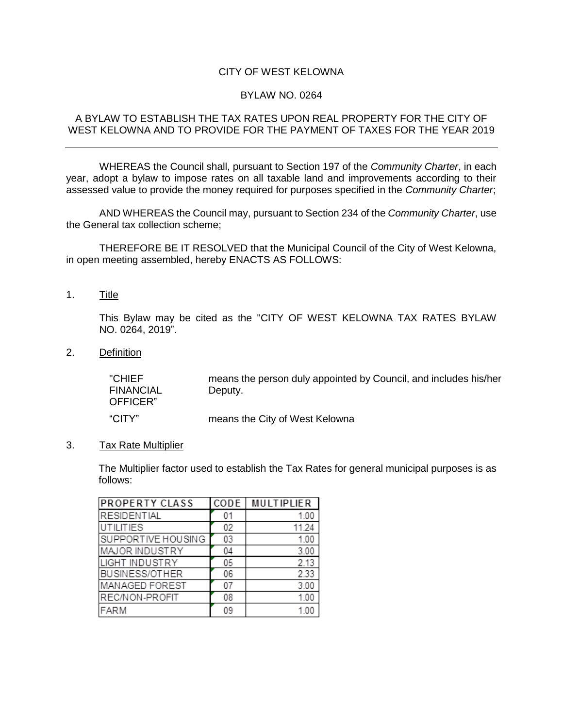## CITY OF WEST KELOWNA

### BYLAW NO. 0264

#### A BYLAW TO ESTABLISH THE TAX RATES UPON REAL PROPERTY FOR THE CITY OF WEST KELOWNA AND TO PROVIDE FOR THE PAYMENT OF TAXES FOR THE YEAR 2019

WHEREAS the Council shall, pursuant to Section 197 of the *Community Charter*, in each year, adopt a bylaw to impose rates on all taxable land and improvements according to their assessed value to provide the money required for purposes specified in the *Community Charter*;

AND WHEREAS the Council may, pursuant to Section 234 of the *Community Charter*, use the General tax collection scheme;

THEREFORE BE IT RESOLVED that the Municipal Council of the City of West Kelowna, in open meeting assembled, hereby ENACTS AS FOLLOWS:

1. Title

This Bylaw may be cited as the "CITY OF WEST KELOWNA TAX RATES BYLAW NO. 0264, 2019".

2. Definition

"CHIEF FINANCIAL OFFICER" means the person duly appointed by Council, and includes his/her Deputy. "CITY" means the City of West Kelowna

3. Tax Rate Multiplier

The Multiplier factor used to establish the Tax Rates for general municipal purposes is as follows:

| <b>PROPERTY CLASS</b> | CODE | <b>MULTIPLIER</b> |
|-----------------------|------|-------------------|
| <b>RESIDENTIAL</b>    | 01   | 1.00              |
| <b>UTILITIES</b>      | 02   | 11.24             |
| SUPPORTIVE HOUSING    | 03   | 1.00              |
| MAJOR INDUSTRY        | 04   | 3.00              |
| <b>LIGHT INDUSTRY</b> | 05   | 2.13              |
| <b>BUSINESS/OTHER</b> | 06   | 2.33              |
| MANAGED FOREST        | 07   | 3.00              |
| REC/NON-PROFIT        | 08   | 1.00              |
| <b>FARM</b>           | 09   | 1.00              |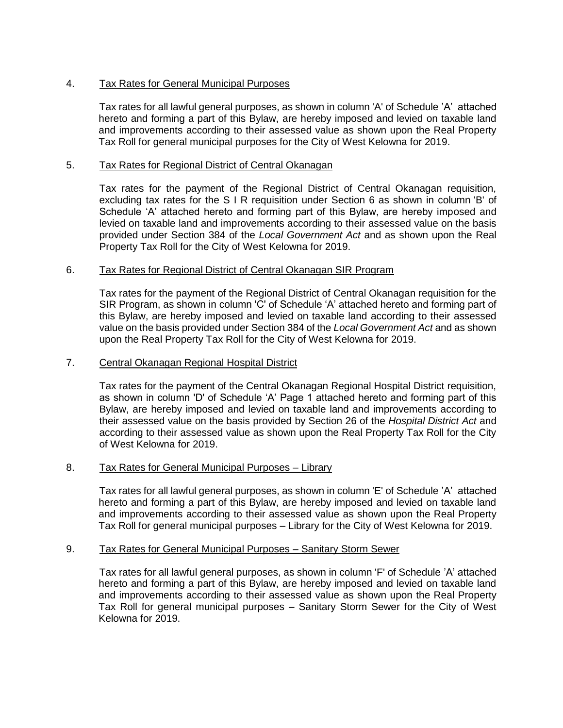# 4. Tax Rates for General Municipal Purposes

Tax rates for all lawful general purposes, as shown in column 'A' of Schedule 'A' attached hereto and forming a part of this Bylaw, are hereby imposed and levied on taxable land and improvements according to their assessed value as shown upon the Real Property Tax Roll for general municipal purposes for the City of West Kelowna for 2019.

# 5. Tax Rates for Regional District of Central Okanagan

Tax rates for the payment of the Regional District of Central Okanagan requisition, excluding tax rates for the S I R requisition under Section 6 as shown in column 'B' of Schedule 'A' attached hereto and forming part of this Bylaw, are hereby imposed and levied on taxable land and improvements according to their assessed value on the basis provided under Section 384 of the *Local Government Act* and as shown upon the Real Property Tax Roll for the City of West Kelowna for 2019.

# 6. Tax Rates for Regional District of Central Okanagan SIR Program

Tax rates for the payment of the Regional District of Central Okanagan requisition for the SIR Program, as shown in column 'C' of Schedule 'A' attached hereto and forming part of this Bylaw, are hereby imposed and levied on taxable land according to their assessed value on the basis provided under Section 384 of the *Local Government Act* and as shown upon the Real Property Tax Roll for the City of West Kelowna for 2019.

### 7. Central Okanagan Regional Hospital District

Tax rates for the payment of the Central Okanagan Regional Hospital District requisition, as shown in column 'D' of Schedule 'A' Page 1 attached hereto and forming part of this Bylaw, are hereby imposed and levied on taxable land and improvements according to their assessed value on the basis provided by Section 26 of the *Hospital District Act* and according to their assessed value as shown upon the Real Property Tax Roll for the City of West Kelowna for 2019.

#### 8. Tax Rates for General Municipal Purposes – Library

Tax rates for all lawful general purposes, as shown in column 'E' of Schedule 'A' attached hereto and forming a part of this Bylaw, are hereby imposed and levied on taxable land and improvements according to their assessed value as shown upon the Real Property Tax Roll for general municipal purposes – Library for the City of West Kelowna for 2019.

#### 9. Tax Rates for General Municipal Purposes – Sanitary Storm Sewer

Tax rates for all lawful general purposes, as shown in column 'F' of Schedule 'A' attached hereto and forming a part of this Bylaw, are hereby imposed and levied on taxable land and improvements according to their assessed value as shown upon the Real Property Tax Roll for general municipal purposes – Sanitary Storm Sewer for the City of West Kelowna for 2019.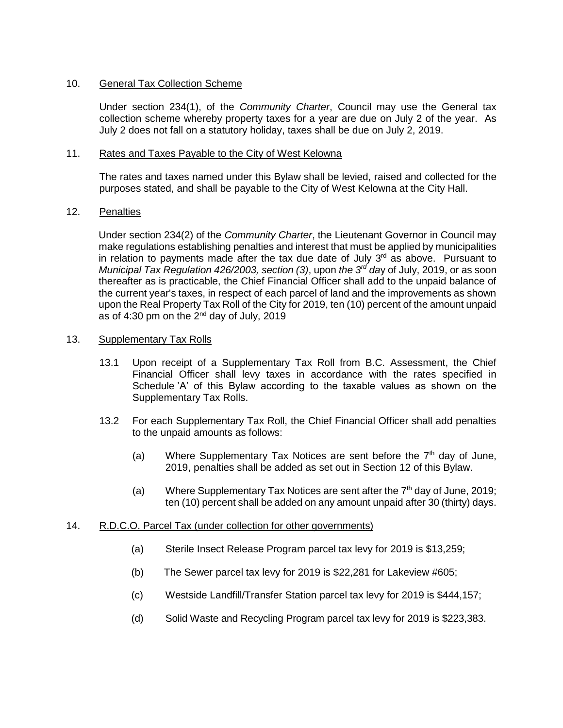### 10. General Tax Collection Scheme

Under section 234(1), of the *Community Charter*, Council may use the General tax collection scheme whereby property taxes for a year are due on July 2 of the year. As July 2 does not fall on a statutory holiday, taxes shall be due on July 2, 2019.

#### 11. Rates and Taxes Payable to the City of West Kelowna

The rates and taxes named under this Bylaw shall be levied, raised and collected for the purposes stated, and shall be payable to the City of West Kelowna at the City Hall.

#### 12. Penalties

Under section 234(2) of the *Community Charter*, the Lieutenant Governor in Council may make regulations establishing penalties and interest that must be applied by municipalities in relation to payments made after the tax due date of July  $3<sup>rd</sup>$  as above. Pursuant to *Municipal Tax Regulation 426/2003, section (3), upon <i>the 3<sup>rd</sup> day* of July, 2019, or as soon thereafter as is practicable, the Chief Financial Officer shall add to the unpaid balance of the current year's taxes, in respect of each parcel of land and the improvements as shown upon the Real Property Tax Roll of the City for 2019, ten (10) percent of the amount unpaid as of 4:30 pm on the  $2<sup>nd</sup>$  day of July, 2019

#### 13. Supplementary Tax Rolls

- 13.1 Upon receipt of a Supplementary Tax Roll from B.C. Assessment, the Chief Financial Officer shall levy taxes in accordance with the rates specified in Schedule 'A' of this Bylaw according to the taxable values as shown on the Supplementary Tax Rolls.
- 13.2 For each Supplementary Tax Roll, the Chief Financial Officer shall add penalties to the unpaid amounts as follows:
	- (a) Where Supplementary Tax Notices are sent before the  $7<sup>th</sup>$  day of June, 2019, penalties shall be added as set out in Section 12 of this Bylaw.
	- (a) Where Supplementary Tax Notices are sent after the  $7<sup>th</sup>$  day of June, 2019; ten (10) percent shall be added on any amount unpaid after 30 (thirty) days.

#### 14. R.D.C.O. Parcel Tax (under collection for other governments)

- (a) Sterile Insect Release Program parcel tax levy for 2019 is \$13,259;
- (b) The Sewer parcel tax levy for 2019 is \$22,281 for Lakeview #605;
- (c) Westside Landfill/Transfer Station parcel tax levy for 2019 is \$444,157;
- (d) Solid Waste and Recycling Program parcel tax levy for 2019 is \$223,383.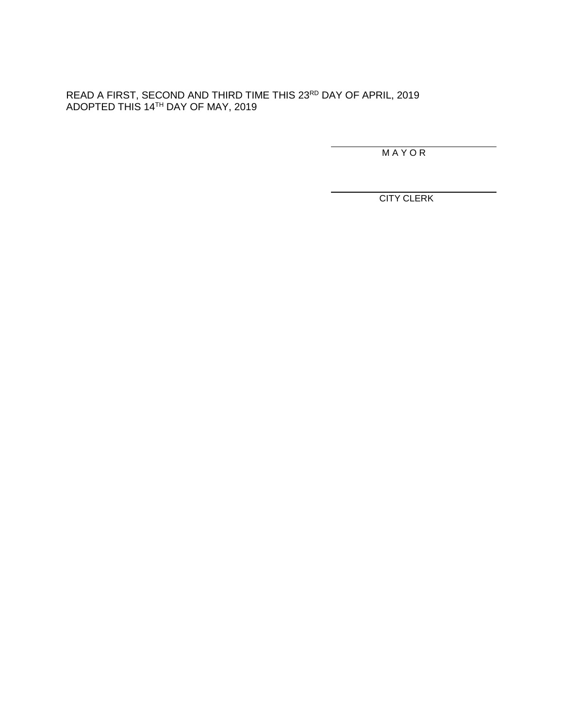READ A FIRST, SECOND AND THIRD TIME THIS 23<sup>RD</sup> DAY OF APRIL, 2019 ADOPTED THIS 14TH DAY OF MAY, 2019

M A Y O R

CITY CLERK